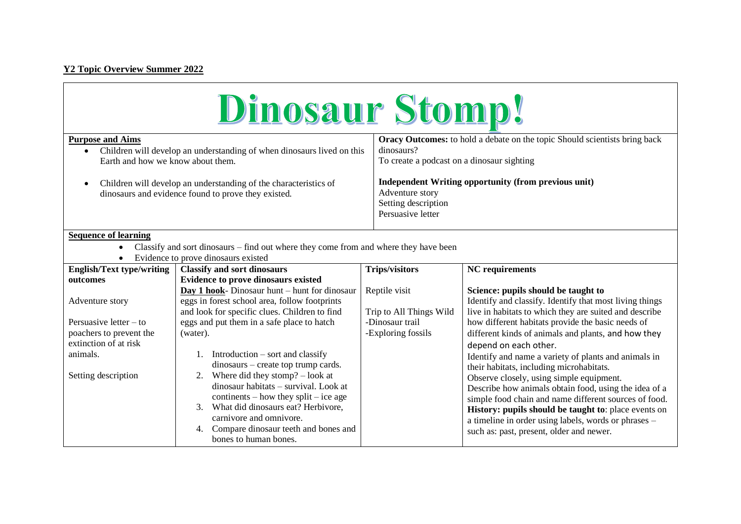## **Y2 Topic Overview Summer 2022**

**T** 

| Dinosaur Stomp!                                                                                                                                                         |                                                                                                                                                                                                                                                                                                                                                                    |                                                                                                                                               |                                                                                                                                                                                                                                                                                                                                                                                                                                                                                                                                                                 |  |
|-------------------------------------------------------------------------------------------------------------------------------------------------------------------------|--------------------------------------------------------------------------------------------------------------------------------------------------------------------------------------------------------------------------------------------------------------------------------------------------------------------------------------------------------------------|-----------------------------------------------------------------------------------------------------------------------------------------------|-----------------------------------------------------------------------------------------------------------------------------------------------------------------------------------------------------------------------------------------------------------------------------------------------------------------------------------------------------------------------------------------------------------------------------------------------------------------------------------------------------------------------------------------------------------------|--|
| <b>Purpose and Aims</b><br>Children will develop an understanding of when dinosaurs lived on this<br>$\bullet$<br>Earth and how we know about them.                     |                                                                                                                                                                                                                                                                                                                                                                    | <b>Oracy Outcomes:</b> to hold a debate on the topic Should scientists bring back<br>dinosaurs?<br>To create a podcast on a dinosaur sighting |                                                                                                                                                                                                                                                                                                                                                                                                                                                                                                                                                                 |  |
| Children will develop an understanding of the characteristics of<br>dinosaurs and evidence found to prove they existed.                                                 |                                                                                                                                                                                                                                                                                                                                                                    | <b>Independent Writing opportunity (from previous unit)</b><br>Adventure story<br>Setting description<br>Persuasive letter                    |                                                                                                                                                                                                                                                                                                                                                                                                                                                                                                                                                                 |  |
| <b>Sequence of learning</b><br>Classify and sort dinosaurs – find out where they come from and where they have been<br>$\bullet$<br>Evidence to prove dinosaurs existed |                                                                                                                                                                                                                                                                                                                                                                    |                                                                                                                                               |                                                                                                                                                                                                                                                                                                                                                                                                                                                                                                                                                                 |  |
| <b>English/Text type/writing</b>                                                                                                                                        | <b>Classify and sort dinosaurs</b>                                                                                                                                                                                                                                                                                                                                 | <b>Trips/visitors</b>                                                                                                                         | <b>NC</b> requirements                                                                                                                                                                                                                                                                                                                                                                                                                                                                                                                                          |  |
| outcomes                                                                                                                                                                | <b>Evidence to prove dinosaurs existed</b>                                                                                                                                                                                                                                                                                                                         |                                                                                                                                               |                                                                                                                                                                                                                                                                                                                                                                                                                                                                                                                                                                 |  |
| Adventure story                                                                                                                                                         | Day 1 hook- Dinosaur hunt – hunt for dinosaur<br>eggs in forest school area, follow footprints<br>and look for specific clues. Children to find                                                                                                                                                                                                                    | Reptile visit<br>Trip to All Things Wild                                                                                                      | Science: pupils should be taught to<br>Identify and classify. Identify that most living things<br>live in habitats to which they are suited and describe                                                                                                                                                                                                                                                                                                                                                                                                        |  |
| Persuasive letter $-$ to<br>poachers to prevent the<br>extinction of at risk                                                                                            | eggs and put them in a safe place to hatch<br>(water).                                                                                                                                                                                                                                                                                                             | -Dinosaur trail<br>-Exploring fossils                                                                                                         | how different habitats provide the basic needs of<br>different kinds of animals and plants, and how they<br>depend on each other.<br>Identify and name a variety of plants and animals in<br>their habitats, including microhabitats.<br>Observe closely, using simple equipment.<br>Describe how animals obtain food, using the idea of a<br>simple food chain and name different sources of food.<br>History: pupils should be taught to: place events on<br>a timeline in order using labels, words or phrases -<br>such as: past, present, older and newer. |  |
| animals.<br>Setting description                                                                                                                                         | 1. Introduction $-$ sort and classify<br>dinosaurs – create top trump cards.<br>2. Where did they stomp? $-$ look at<br>dinosaur habitats - survival. Look at<br>continents – how they split – ice age<br>What did dinosaurs eat? Herbivore,<br>$\mathfrak{Z}$ .<br>carnivore and omnivore.<br>Compare dinosaur teeth and bones and<br>4.<br>bones to human bones. |                                                                                                                                               |                                                                                                                                                                                                                                                                                                                                                                                                                                                                                                                                                                 |  |